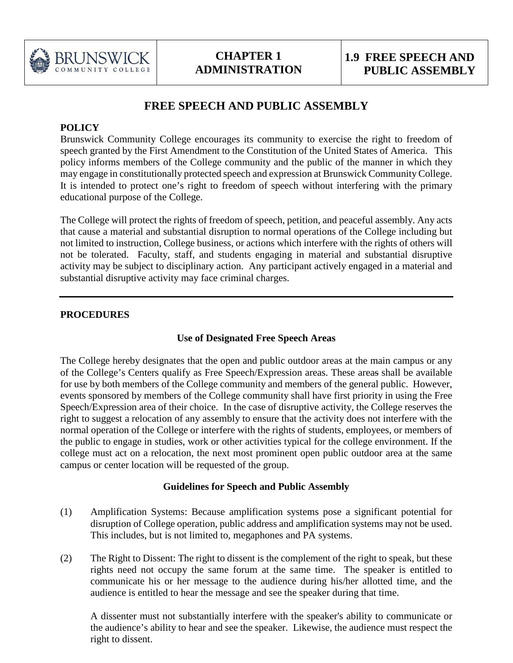

# **FREE SPEECH AND PUBLIC ASSEMBLY**

#### **POLICY**

Brunswick Community College encourages its community to exercise the right to freedom of speech granted by the First Amendment to the Constitution of the United States of America. This policy informs members of the College community and the public of the manner in which they may engage in constitutionally protected speech and expression at Brunswick Community College. It is intended to protect one's right to freedom of speech without interfering with the primary educational purpose of the College.

The College will protect the rights of freedom of speech, petition, and peaceful assembly. Any acts that cause a material and substantial disruption to normal operations of the College including but not limited to instruction, College business, or actions which interfere with the rights of others will not be tolerated. Faculty, staff, and students engaging in material and substantial disruptive activity may be subject to disciplinary action. Any participant actively engaged in a material and substantial disruptive activity may face criminal charges.

#### **PROCEDURES**

## **Use of Designated Free Speech Areas**

The College hereby designates that the open and public outdoor areas at the main campus or any of the College's Centers qualify as Free Speech/Expression areas. These areas shall be available for use by both members of the College community and members of the general public. However, events sponsored by members of the College community shall have first priority in using the Free Speech/Expression area of their choice. In the case of disruptive activity, the College reserves the right to suggest a relocation of any assembly to ensure that the activity does not interfere with the normal operation of the College or interfere with the rights of students, employees, or members of the public to engage in studies, work or other activities typical for the college environment. If the college must act on a relocation, the next most prominent open public outdoor area at the same campus or center location will be requested of the group.

#### **Guidelines for Speech and Public Assembly**

- (1) Amplification Systems: Because amplification systems pose a significant potential for disruption of College operation, public address and amplification systems may not be used. This includes, but is not limited to, megaphones and PA systems.
- (2) The Right to Dissent: The right to dissent is the complement of the right to speak, but these rights need not occupy the same forum at the same time. The speaker is entitled to communicate his or her message to the audience during his/her allotted time, and the audience is entitled to hear the message and see the speaker during that time.

A dissenter must not substantially interfere with the speaker's ability to communicate or the audience's ability to hear and see the speaker. Likewise, the audience must respect the right to dissent.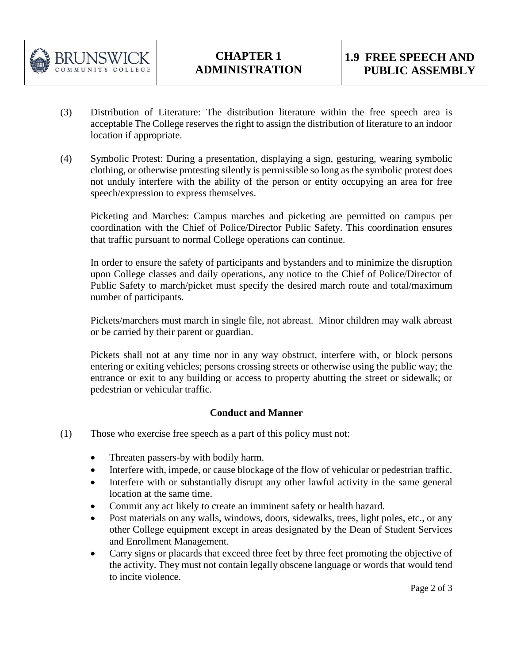

- (3) Distribution of Literature: The distribution literature within the free speech area is acceptable The College reserves the right to assign the distribution of literature to an indoor location if appropriate.
- (4) Symbolic Protest: During a presentation, displaying a sign, gesturing, wearing symbolic clothing, or otherwise protesting silently is permissible so long as the symbolic protest does not unduly interfere with the ability of the person or entity occupying an area for free speech/expression to express themselves.

Picketing and Marches: Campus marches and picketing are permitted on campus per coordination with the Chief of Police/Director Public Safety. This coordination ensures that traffic pursuant to normal College operations can continue.

In order to ensure the safety of participants and bystanders and to minimize the disruption upon College classes and daily operations, any notice to the Chief of Police/Director of Public Safety to march/picket must specify the desired march route and total/maximum number of participants.

Pickets/marchers must march in single file, not abreast. Minor children may walk abreast or be carried by their parent or guardian.

Pickets shall not at any time nor in any way obstruct, interfere with, or block persons entering or exiting vehicles; persons crossing streets or otherwise using the public way; the entrance or exit to any building or access to property abutting the street or sidewalk; or pedestrian or vehicular traffic.

## **Conduct and Manner**

- (1) Those who exercise free speech as a part of this policy must not:
	- Threaten passers-by with bodily harm.
	- Interfere with, impede, or cause blockage of the flow of vehicular or pedestrian traffic.
	- Interfere with or substantially disrupt any other lawful activity in the same general location at the same time.
	- Commit any act likely to create an imminent safety or health hazard.
	- Post materials on any walls, windows, doors, sidewalks, trees, light poles, etc., or any other College equipment except in areas designated by the Dean of Student Services and Enrollment Management.
	- Carry signs or placards that exceed three feet by three feet promoting the objective of the activity. They must not contain legally obscene language or words that would tend to incite violence.